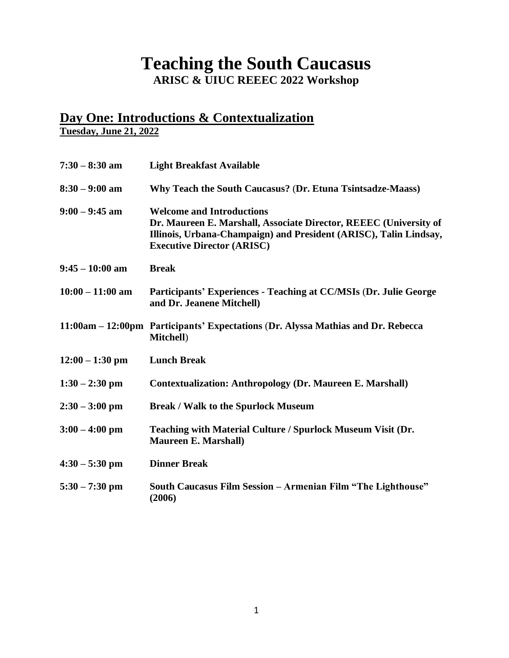### **Teaching the South Caucasus ARISC & UIUC REEEC 2022 Workshop**

# **Day One: Introductions & Contextualization**

**Tuesday, June 21, 2022**

| $7:30 - 8:30$ am   | <b>Light Breakfast Available</b>                                                                                                                                                                                |
|--------------------|-----------------------------------------------------------------------------------------------------------------------------------------------------------------------------------------------------------------|
| $8:30 - 9:00$ am   | Why Teach the South Caucasus? (Dr. Etuna Tsintsadze-Maass)                                                                                                                                                      |
| $9:00 - 9:45$ am   | <b>Welcome and Introductions</b><br>Dr. Maureen E. Marshall, Associate Director, REEEC (University of<br>Illinois, Urbana-Champaign) and President (ARISC), Talin Lindsay,<br><b>Executive Director (ARISC)</b> |
| $9:45 - 10:00$ am  | <b>Break</b>                                                                                                                                                                                                    |
| $10:00 - 11:00$ am | Participants' Experiences - Teaching at CC/MSIs (Dr. Julie George<br>and Dr. Jeanene Mitchell)                                                                                                                  |
|                    | 11:00am – 12:00pm Participants' Expectations (Dr. Alyssa Mathias and Dr. Rebecca<br>Mitchell)                                                                                                                   |
| $12:00 - 1:30$ pm  | <b>Lunch Break</b>                                                                                                                                                                                              |
| $1:30 - 2:30$ pm   | <b>Contextualization: Anthropology (Dr. Maureen E. Marshall)</b>                                                                                                                                                |
| $2:30 - 3:00$ pm   | <b>Break / Walk to the Spurlock Museum</b>                                                                                                                                                                      |
| $3:00 - 4:00$ pm   | Teaching with Material Culture / Spurlock Museum Visit (Dr.<br><b>Maureen E. Marshall)</b>                                                                                                                      |
| $4:30 - 5:30$ pm   | <b>Dinner Break</b>                                                                                                                                                                                             |
| $5:30 - 7:30$ pm   | South Caucasus Film Session - Armenian Film "The Lighthouse"<br>(2006)                                                                                                                                          |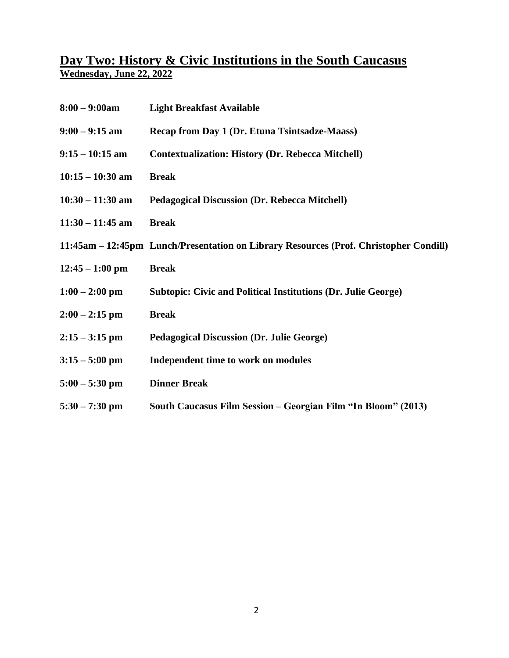#### **Day Two: History & Civic Institutions in the South Caucasus Wednesday, June 22, 2022**

| $8:00 - 9:00$ am   | <b>Light Breakfast Available</b>                                                      |
|--------------------|---------------------------------------------------------------------------------------|
| $9:00 - 9:15$ am   | Recap from Day 1 (Dr. Etuna Tsintsadze-Maass)                                         |
| $9:15 - 10:15$ am  | <b>Contextualization: History (Dr. Rebecca Mitchell)</b>                              |
| $10:15 - 10:30$ am | <b>Break</b>                                                                          |
| $10:30 - 11:30$ am | <b>Pedagogical Discussion (Dr. Rebecca Mitchell)</b>                                  |
| $11:30 - 11:45$ am | <b>Break</b>                                                                          |
|                    | 11:45am – 12:45pm Lunch/Presentation on Library Resources (Prof. Christopher Condill) |
| $12:45 - 1:00$ pm  | <b>Break</b>                                                                          |
| $1:00 - 2:00$ pm   | <b>Subtopic: Civic and Political Institutions (Dr. Julie George)</b>                  |
| $2:00 - 2:15$ pm   | <b>Break</b>                                                                          |
| $2:15 - 3:15$ pm   | <b>Pedagogical Discussion (Dr. Julie George)</b>                                      |
| $3:15 - 5:00$ pm   | Independent time to work on modules                                                   |
| $5:00 - 5:30$ pm   | <b>Dinner Break</b>                                                                   |
| $5:30 - 7:30$ pm   | South Caucasus Film Session - Georgian Film "In Bloom" (2013)                         |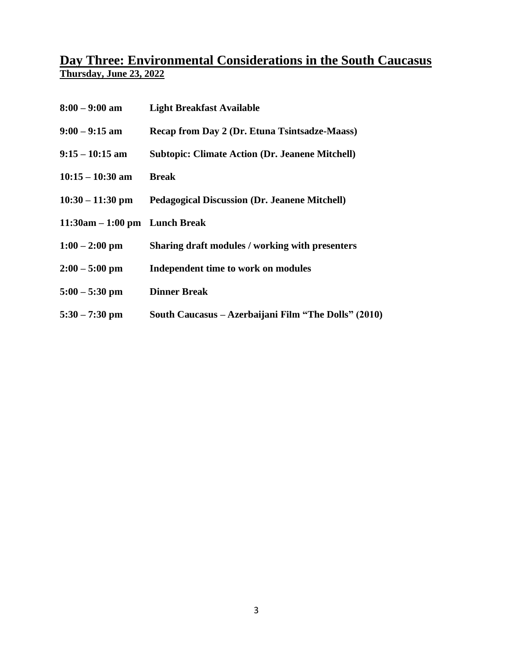#### **Day Three: Environmental Considerations in the South Caucasus Thursday, June 23, 2022**

| $8:00 - 9:00$ am                  | <b>Light Breakfast Available</b>                       |
|-----------------------------------|--------------------------------------------------------|
| $9:00 - 9:15$ am                  | Recap from Day 2 (Dr. Etuna Tsintsadze-Maass)          |
| $9:15 - 10:15$ am                 | <b>Subtopic: Climate Action (Dr. Jeanene Mitchell)</b> |
| $10:15 - 10:30$ am                | <b>Break</b>                                           |
| $10:30 - 11:30$ pm                | <b>Pedagogical Discussion (Dr. Jeanene Mitchell)</b>   |
| $11:30$ am $-1:00$ pm Lunch Break |                                                        |
| $1:00 - 2:00$ pm                  | Sharing draft modules / working with presenters        |
| $2:00 - 5:00$ pm                  | Independent time to work on modules                    |
| $5:00 - 5:30$ pm                  | <b>Dinner Break</b>                                    |
| $5:30 - 7:30$ pm                  | South Caucasus – Azerbaijani Film "The Dolls" (2010)   |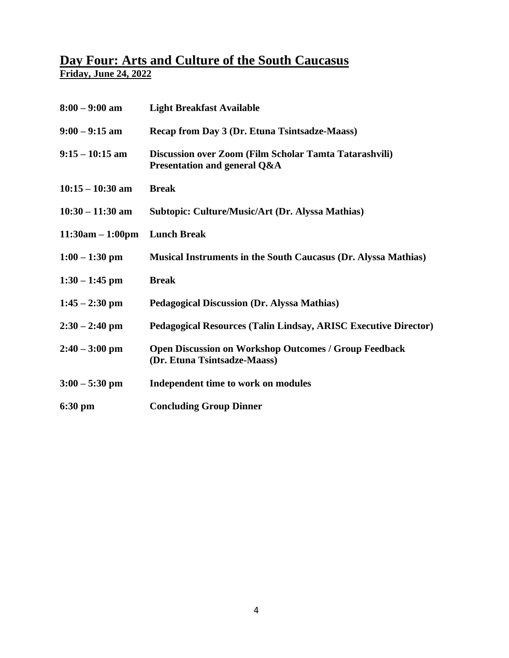#### **Day Four: Arts and Culture of the South Caucasus Friday, June 24, 2022**

| $8:00 - 9:00$ am   | <b>Light Breakfast Available</b>                                                             |
|--------------------|----------------------------------------------------------------------------------------------|
| $9:00 - 9:15$ am   | Recap from Day 3 (Dr. Etuna Tsintsadze-Maass)                                                |
| $9:15 - 10:15$ am  | Discussion over Zoom (Film Scholar Tamta Tatarashvili)<br>Presentation and general Q&A       |
| $10:15 - 10:30$ am | <b>Break</b>                                                                                 |
| $10:30 - 11:30$ am | Subtopic: Culture/Music/Art (Dr. Alyssa Mathias)                                             |
| $11:30am - 1:00pm$ | <b>Lunch Break</b>                                                                           |
| $1:00 - 1:30$ pm   | <b>Musical Instruments in the South Caucasus (Dr. Alyssa Mathias)</b>                        |
| $1:30 - 1:45$ pm   | <b>Break</b>                                                                                 |
| $1:45 - 2:30$ pm   | <b>Pedagogical Discussion (Dr. Alyssa Mathias)</b>                                           |
| $2:30 - 2:40$ pm   | <b>Pedagogical Resources (Talin Lindsay, ARISC Executive Director)</b>                       |
| $2:40 - 3:00$ pm   | <b>Open Discussion on Workshop Outcomes / Group Feedback</b><br>(Dr. Etuna Tsintsadze-Maass) |
| $3:00 - 5:30$ pm   | Independent time to work on modules                                                          |
| $6:30$ pm          | <b>Concluding Group Dinner</b>                                                               |